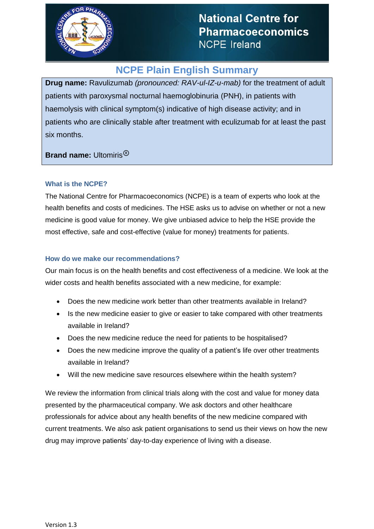

# **NCPE Plain English Summary**

**Drug name:** Ravulizumab *(pronounced: RAV-ul-IZ-u-mab)* for the treatment of adult patients with paroxysmal nocturnal haemoglobinuria (PNH), in patients with haemolysis with clinical symptom(s) indicative of high disease activity; and in patients who are clinically stable after treatment with eculizumab for at least the past six months.

**Brand name:** Ultomiris®

# **What is the NCPE?**

The National Centre for Pharmacoeconomics (NCPE) is a team of experts who look at the health benefits and costs of medicines. The HSE asks us to advise on whether or not a new medicine is good value for money. We give unbiased advice to help the HSE provide the most effective, safe and cost-effective (value for money) treatments for patients.

# **How do we make our recommendations?**

Our main focus is on the health benefits and cost effectiveness of a medicine. We look at the wider costs and health benefits associated with a new medicine, for example:

- Does the new medicine work better than other treatments available in Ireland?
- Is the new medicine easier to give or easier to take compared with other treatments available in Ireland?
- Does the new medicine reduce the need for patients to be hospitalised?
- Does the new medicine improve the quality of a patient's life over other treatments available in Ireland?
- Will the new medicine save resources elsewhere within the health system?

We review the information from clinical trials along with the cost and value for money data presented by the pharmaceutical company. We ask doctors and other healthcare professionals for advice about any health benefits of the new medicine compared with current treatments. We also ask patient organisations to send us their views on how the new drug may improve patients' day-to-day experience of living with a disease.